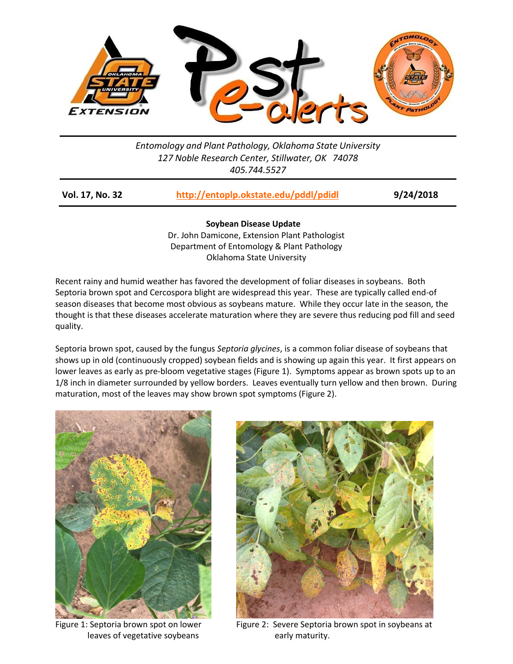

## *Entomology and Plant Pathology, Oklahoma State University 127 Noble Research Center, Stillwater, OK 74078 405.744.5527*

| Vol. 17, No. 32 | http://entoplp.okstate.edu/pddl/pdidl | 9/24/2018 |
|-----------------|---------------------------------------|-----------|
|-----------------|---------------------------------------|-----------|

**Soybean Disease Update** Dr. John Damicone, Extension Plant Pathologist Department of Entomology & Plant Pathology Oklahoma State University

Recent rainy and humid weather has favored the development of foliar diseases in soybeans. Both Septoria brown spot and Cercospora blight are widespread this year. These are typically called end-of season diseases that become most obvious as soybeans mature. While they occur late in the season, the thought is that these diseases accelerate maturation where they are severe thus reducing pod fill and seed quality.

Septoria brown spot, caused by the fungus *Septoria glycines*, is a common foliar disease of soybeans that shows up in old (continuously cropped) soybean fields and is showing up again this year. It first appears on lower leaves as early as pre-bloom vegetative stages (Figure 1). Symptoms appear as brown spots up to an 1/8 inch in diameter surrounded by yellow borders. Leaves eventually turn yellow and then brown. During maturation, most of the leaves may show brown spot symptoms (Figure 2).



leaves of vegetative soybeans early maturity.



Figure 1: Septoria brown spot on lower Figure 2: Severe Septoria brown spot in soybeans at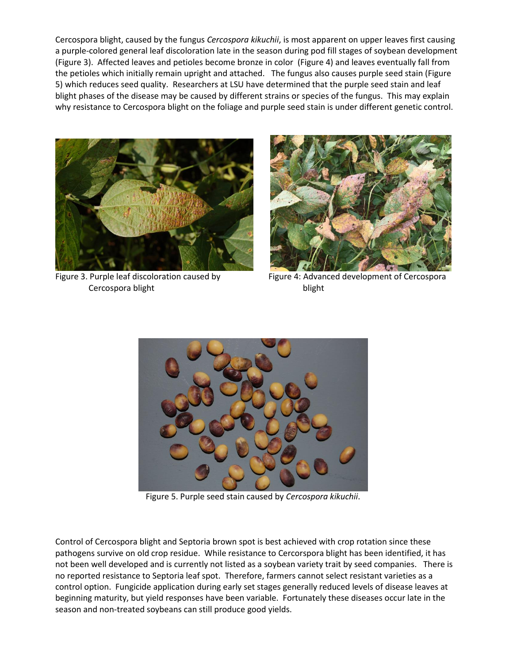Cercospora blight, caused by the fungus *Cercospora kikuchii*, is most apparent on upper leaves first causing a purple-colored general leaf discoloration late in the season during pod fill stages of soybean development (Figure 3). Affected leaves and petioles become bronze in color (Figure 4) and leaves eventually fall from the petioles which initially remain upright and attached. The fungus also causes purple seed stain (Figure 5) which reduces seed quality. Researchers at LSU have determined that the purple seed stain and leaf blight phases of the disease may be caused by different strains or species of the fungus. This may explain why resistance to Cercospora blight on the foliage and purple seed stain is under different genetic control.



Cercospora blight blight blight



Figure 3. Purple leaf discoloration caused by Figure 4: Advanced development of Cercospora



Figure 5. Purple seed stain caused by *Cercospora kikuchii*.

Control of Cercospora blight and Septoria brown spot is best achieved with crop rotation since these pathogens survive on old crop residue. While resistance to Cercorspora blight has been identified, it has not been well developed and is currently not listed as a soybean variety trait by seed companies. There is no reported resistance to Septoria leaf spot. Therefore, farmers cannot select resistant varieties as a control option. Fungicide application during early set stages generally reduced levels of disease leaves at beginning maturity, but yield responses have been variable. Fortunately these diseases occur late in the season and non-treated soybeans can still produce good yields.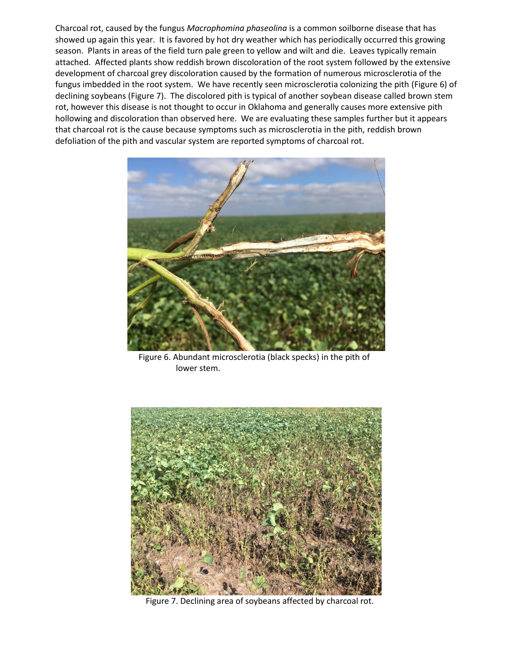Charcoal rot, caused by the fungus *Macrophomina phaseolina* is a common soilborne disease that has showed up again this year. It is favored by hot dry weather which has periodically occurred this growing season. Plants in areas of the field turn pale green to yellow and wilt and die. Leaves typically remain attached. Affected plants show reddish brown discoloration of the root system followed by the extensive development of charcoal grey discoloration caused by the formation of numerous microsclerotia of the fungus imbedded in the root system. We have recently seen microsclerotia colonizing the pith (Figure 6) of declining soybeans (Figure 7). The discolored pith is typical of another soybean disease called brown stem rot, however this disease is not thought to occur in Oklahoma and generally causes more extensive pith hollowing and discoloration than observed here. We are evaluating these samples further but it appears that charcoal rot is the cause because symptoms such as microsclerotia in the pith, reddish brown defoliation of the pith and vascular system are reported symptoms of charcoal rot.



 Figure 6. Abundant microsclerotia (black specks) in the pith of lower stem.



Figure 7. Declining area of soybeans affected by charcoal rot.